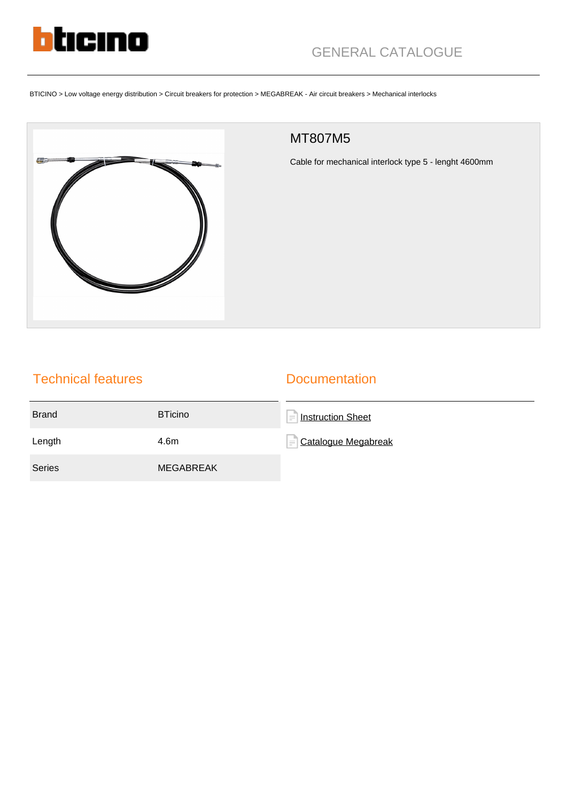

BTICINO > Low voltage energy distribution > Circuit breakers for protection > MEGABREAK - Air circuit breakers > Mechanical interlocks



## MT807M5

Cable for mechanical interlock type 5 - lenght 4600mm

## Technical features

## **Documentation**

| <b>Brand</b>  | <b>BTicino</b>   | Instruction Sheet<br>$\qquad \qquad =$ |
|---------------|------------------|----------------------------------------|
| Length        | 4.6m             | $=$ Catalogue Megabreak                |
| <b>Series</b> | <b>MEGABREAK</b> |                                        |